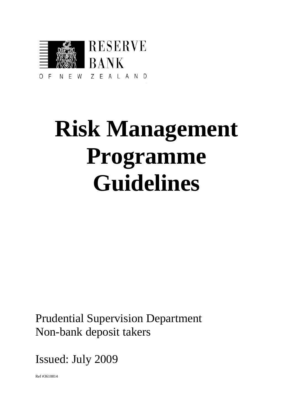

# **Risk Management Programme Guidelines**

Prudential Supervision Department Non-bank deposit takers

Issued: July 2009

Ref #3610814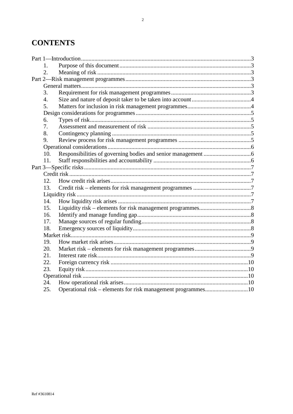# **CONTENTS**

|  | 1.  |                                                              |  |
|--|-----|--------------------------------------------------------------|--|
|  | 2.  |                                                              |  |
|  |     |                                                              |  |
|  |     |                                                              |  |
|  | 3.  |                                                              |  |
|  | 4.  |                                                              |  |
|  | 5.  |                                                              |  |
|  |     |                                                              |  |
|  | 6.  |                                                              |  |
|  | 7.  |                                                              |  |
|  | 8.  |                                                              |  |
|  | 9.  |                                                              |  |
|  |     |                                                              |  |
|  | 10. |                                                              |  |
|  | 11. |                                                              |  |
|  |     |                                                              |  |
|  |     |                                                              |  |
|  | 12. |                                                              |  |
|  | 13. |                                                              |  |
|  |     |                                                              |  |
|  | 14. |                                                              |  |
|  | 15. |                                                              |  |
|  | 16. |                                                              |  |
|  | 17. |                                                              |  |
|  | 18. |                                                              |  |
|  |     |                                                              |  |
|  | 19. |                                                              |  |
|  | 20. |                                                              |  |
|  | 21. |                                                              |  |
|  | 22. |                                                              |  |
|  | 23. |                                                              |  |
|  |     |                                                              |  |
|  | 24. |                                                              |  |
|  | 25. | Operational risk - elements for risk management programmes10 |  |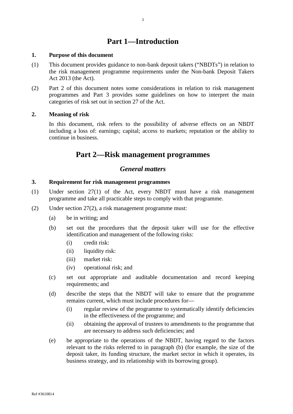# **Part 1—Introduction**

#### <span id="page-2-1"></span><span id="page-2-0"></span>**1. Purpose of this document**

- (1) This document provides guidance to non-bank deposit takers ("NBDTs") in relation to the risk management programme requirements under the Non-bank Deposit Takers Act 2013 (the Act).
- (2) Part 2 of this document notes some considerations in relation to risk management programmes and Part 3 provides some guidelines on how to interpret the main categories of risk set out in section 27 of the Act.

#### <span id="page-2-2"></span>**2. Meaning of risk**

<span id="page-2-3"></span>In this document, risk refers to the possibility of adverse effects on an NBDT including a loss of: earnings; capital; access to markets; reputation or the ability to continue in business.

# **Part 2—Risk management programmes**

## *General matters*

#### <span id="page-2-5"></span><span id="page-2-4"></span>**3. Requirement for risk management programmes**

- (1) Under section 27(1) of the Act, every NBDT must have a risk management programme and take all practicable steps to comply with that programme.
- (2) Under section 27(2), a risk management programme must:
	- (a) be in writing; and
	- (b) set out the procedures that the deposit taker will use for the effective identification and management of the following risks:
		- (i) credit risk:
		- (ii) liquidity risk:
		- (iii) market risk:
		- (iv) operational risk; and
	- (c) set out appropriate and auditable documentation and record keeping requirements; and
	- (d) describe the steps that the NBDT will take to ensure that the programme remains current, which must include procedures for—
		- (i) regular review of the programme to systematically identify deficiencies in the effectiveness of the programme; and
		- (ii) obtaining the approval of trustees to amendments to the programme that are necessary to address such deficiencies; and
	- (e) be appropriate to the operations of the NBDT, having regard to the factors relevant to the risks referred to in paragraph (b) (for example, the size of the deposit taker, its funding structure, the market sector in which it operates, its business strategy, and its relationship with its borrowing group).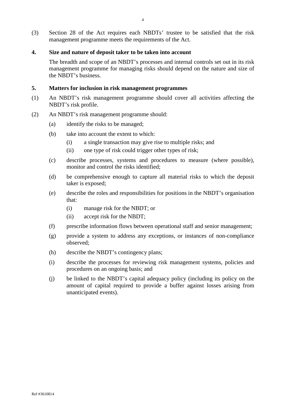(3) Section 28 of the Act requires each NBDTs' trustee to be satisfied that the risk management programme meets the requirements of the Act.

#### <span id="page-3-0"></span>**4. Size and nature of deposit taker to be taken into account**

The breadth and scope of an NBDT's processes and internal controls set out in its risk management programme for managing risks should depend on the nature and size of the NBDT's business.

#### <span id="page-3-1"></span>**5. Matters for inclusion in risk management programmes**

- (1) An NBDT's risk management programme should cover all activities affecting the NBDT's risk profile.
- (2) An NBDT's risk management programme should:
	- (a) identify the risks to be managed;
	- (b) take into account the extent to which:
		- (i) a single transaction may give rise to multiple risks; and
		- (ii) one type of risk could trigger other types of risk;
	- (c) describe processes, systems and procedures to measure (where possible), monitor and control the risks identified;
	- (d) be comprehensive enough to capture all material risks to which the deposit taker is exposed;
	- (e) describe the roles and responsibilities for positions in the NBDT's organisation that:
		- (i) manage risk for the NBDT; or
		- (ii) accept risk for the NBDT;
	- (f) prescribe information flows between operational staff and senior management;
	- (g) provide a system to address any exceptions, or instances of non-compliance observed;
	- (h) describe the NBDT's contingency plans;
	- (i) describe the processes for reviewing risk management systems, policies and procedures on an ongoing basis; and
	- (j) be linked to the NBDT's capital adequacy policy (including its policy on the amount of capital required to provide a buffer against losses arising from unanticipated events).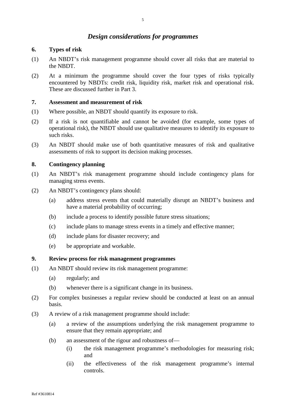# *Design considerations for programmes*

#### <span id="page-4-1"></span><span id="page-4-0"></span>**6. Types of risk**

- (1) An NBDT's risk management programme should cover all risks that are material to the NBDT.
- (2) At a minimum the programme should cover the four types of risks typically encountered by NBDTs: credit risk, liquidity risk, market risk and operational risk. These are discussed further in Part 3.

#### <span id="page-4-2"></span>**7. Assessment and measurement of risk**

- (1) Where possible, an NBDT should quantify its exposure to risk.
- (2) If a risk is not quantifiable and cannot be avoided (for example, some types of operational risk), the NBDT should use qualitative measures to identify its exposure to such risks.
- (3) An NBDT should make use of both quantitative measures of risk and qualitative assessments of risk to support its decision making processes.

### <span id="page-4-3"></span>**8. Contingency planning**

- (1) An NBDT's risk management programme should include contingency plans for managing stress events.
- (2) An NBDT's contingency plans should:
	- (a) address stress events that could materially disrupt an NBDT's business and have a material probability of occurring;
	- (b) include a process to identify possible future stress situations;
	- (c) include plans to manage stress events in a timely and effective manner;
	- (d) include plans for disaster recovery; and
	- (e) be appropriate and workable.

#### <span id="page-4-4"></span>**9. Review process for risk management programmes**

- (1) An NBDT should review its risk management programme:
	- (a) regularly; and
	- (b) whenever there is a significant change in its business.
- (2) For complex businesses a regular review should be conducted at least on an annual basis.
- (3) A review of a risk management programme should include:
	- (a) a review of the assumptions underlying the risk management programme to ensure that they remain appropriate; and
	- (b) an assessment of the rigour and robustness of—
		- (i) the risk management programme's methodologies for measuring risk; and
		- (ii) the effectiveness of the risk management programme's internal controls.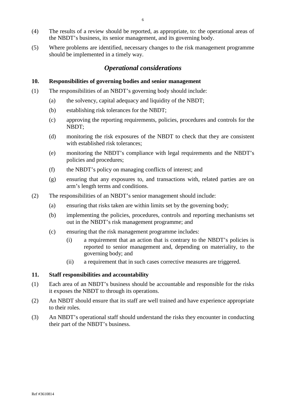- (4) The results of a review should be reported, as appropriate, to: the operational areas of the NBDT's business, its senior management, and its governing body.
- <span id="page-5-0"></span>(5) Where problems are identified, necessary changes to the risk management programme should be implemented in a timely way.

# *Operational considerations*

#### <span id="page-5-1"></span>**10. Responsibilities of governing bodies and senior management**

- (1) The responsibilities of an NBDT's governing body should include:
	- (a) the solvency, capital adequacy and liquidity of the NBDT;
	- (b) establishing risk tolerances for the NBDT;
	- (c) approving the reporting requirements, policies, procedures and controls for the NBDT;
	- (d) monitoring the risk exposures of the NBDT to check that they are consistent with established risk tolerances;
	- (e) monitoring the NBDT's compliance with legal requirements and the NBDT's policies and procedures;
	- (f) the NBDT's policy on managing conflicts of interest; and
	- (g) ensuring that any exposures to, and transactions with, related parties are on arm's length terms and conditions.
- (2) The responsibilities of an NBDT's senior management should include:
	- (a) ensuring that risks taken are within limits set by the governing body;
	- (b) implementing the policies, procedures, controls and reporting mechanisms set out in the NBDT's risk management programme; and
	- (c) ensuring that the risk management programme includes:
		- (i) a requirement that an action that is contrary to the NBDT's policies is reported to senior management and, depending on materiality, to the governing body; and
		- (ii) a requirement that in such cases corrective measures are triggered.

#### <span id="page-5-2"></span>**11. Staff responsibilities and accountability**

- (1) Each area of an NBDT's business should be accountable and responsible for the risks it exposes the NBDT to through its operations.
- (2) An NBDT should ensure that its staff are well trained and have experience appropriate to their roles.
- (3) An NBDT's operational staff should understand the risks they encounter in conducting their part of the NBDT's business.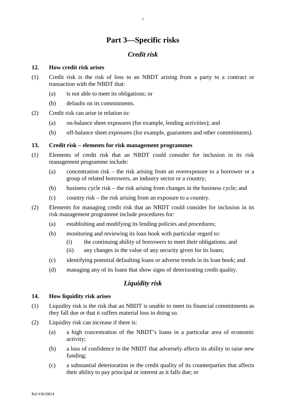# **Part 3—Specific risks**

# *Credit risk*

#### <span id="page-6-2"></span><span id="page-6-1"></span><span id="page-6-0"></span>**12. How credit risk arises**

- (1) Credit risk is the risk of loss to an NBDT arising from a party to a contract or transaction with the NBDT that:
	- (a) is not able to meet its obligations; or
	- (b) defaults on its commitments.
- (2) Credit risk can arise in relation to:
	- (a) on-balance sheet exposures (for example, lending activities); and
	- (b) off-balance sheet exposures (for example, guarantees and other commitments).

#### <span id="page-6-3"></span>**13. Credit risk – elements for risk management programmes**

- (1) Elements of credit risk that an NBDT could consider for inclusion in its risk management programme include:
	- (a) concentration risk the risk arising from an overexposure to a borrower or a group of related borrowers, an industry sector or a country;
	- (b) business cycle risk the risk arising from changes in the business cycle; and
	- (c) country risk the risk arising from an exposure to a country.
- (2) Elements for managing credit risk that an NBDT could consider for inclusion in its risk management programme include procedures for:
	- (a) establishing and modifying its lending policies and procedures;
	- (b) monitoring and reviewing its loan book with particular regard to:
		- (i) the continuing ability of borrowers to meet their obligations; and
		- (ii) any changes in the value of any security given for its loans;
	- (c) identifying potential defaulting loans or adverse trends in its loan book; and
	- (d) managing any of its loans that show signs of deteriorating credit quality.

## *Liquidity risk*

#### <span id="page-6-5"></span><span id="page-6-4"></span>**14. How liquidity risk arises**

- (1) Liquidity risk is the risk that an NBDT is unable to meet its financial commitments as they fall due or that it suffers material loss in doing so.
- (2) Liquidity risk can increase if there is:
	- (a) a high concentration of the NBDT's loans in a particular area of economic activity;
	- (b) a loss of confidence in the NBDT that adversely affects its ability to raise new funding;
	- (c) a substantial deterioration in the credit quality of its counterparties that affects their ability to pay principal or interest as it falls due; or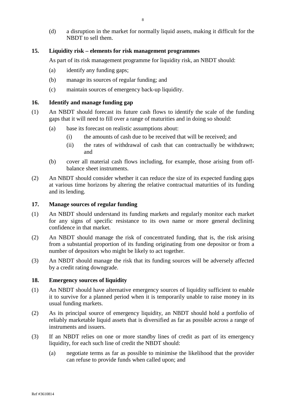(d) a disruption in the market for normally liquid assets, making it difficult for the NBDT to sell them.

#### <span id="page-7-0"></span>**15. Liquidity risk – elements for risk management programmes**

As part of its risk management programme for liquidity risk, an NBDT should:

- (a) identify any funding gaps;
- (b) manage its sources of regular funding; and
- (c) maintain sources of emergency back-up liquidity.

#### <span id="page-7-1"></span>**16. Identify and manage funding gap**

- (1) An NBDT should forecast its future cash flows to identify the scale of the funding gaps that it will need to fill over a range of maturities and in doing so should:
	- (a) base its forecast on realistic assumptions about:
		- (i) the amounts of cash due to be received that will be received; and
		- (ii) the rates of withdrawal of cash that can contractually be withdrawn; and
	- (b) cover all material cash flows including, for example, those arising from offbalance sheet instruments.
- (2) An NBDT should consider whether it can reduce the size of its expected funding gaps at various time horizons by altering the relative contractual maturities of its funding and its lending.

#### <span id="page-7-2"></span>**17. Manage sources of regular funding**

- (1) An NBDT should understand its funding markets and regularly monitor each market for any signs of specific resistance to its own name or more general declining confidence in that market.
- (2) An NBDT should manage the risk of concentrated funding, that is, the risk arising from a substantial proportion of its funding originating from one depositor or from a number of depositors who might be likely to act together.
- (3) An NBDT should manage the risk that its funding sources will be adversely affected by a credit rating downgrade.

#### <span id="page-7-3"></span>**18. Emergency sources of liquidity**

- (1) An NBDT should have alternative emergency sources of liquidity sufficient to enable it to survive for a planned period when it is temporarily unable to raise money in its usual funding markets.
- (2) As its principal source of emergency liquidity, an NBDT should hold a portfolio of reliably marketable liquid assets that is diversified as far as possible across a range of instruments and issuers.
- (3) If an NBDT relies on one or more standby lines of credit as part of its emergency liquidity, for each such line of credit the NBDT should:
	- (a) negotiate terms as far as possible to minimise the likelihood that the provider can refuse to provide funds when called upon; and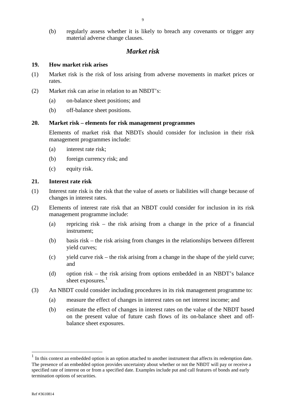(b) regularly assess whether it is likely to breach any covenants or trigger any material adverse change clauses.

# *Market risk*

#### <span id="page-8-1"></span><span id="page-8-0"></span>**19. How market risk arises**

- (1) Market risk is the risk of loss arising from adverse movements in market prices or rates.
- (2) Market risk can arise in relation to an NBDT's:
	- (a) on-balance sheet positions; and
	- (b) off-balance sheet positions.

#### <span id="page-8-2"></span>**20. Market risk – elements for risk management programmes**

Elements of market risk that NBDTs should consider for inclusion in their risk management programmes include:

- (a) interest rate risk;
- (b) foreign currency risk; and
- (c) equity risk.

#### <span id="page-8-3"></span>**21. Interest rate risk**

- (1) Interest rate risk is the risk that the value of assets or liabilities will change because of changes in interest rates.
- (2) Elements of interest rate risk that an NBDT could consider for inclusion in its risk management programme include:
	- (a) repricing risk the risk arising from a change in the price of a financial instrument;
	- (b) basis risk the risk arising from changes in the relationships between different yield curves;
	- (c) yield curve risk the risk arising from a change in the shape of the yield curve; and
	- (d) option risk the risk arising from options embedded in an NBDT's balance sheet exposures.<sup>[1](#page-8-4)</sup>
- (3) An NBDT could consider including procedures in its risk management programme to:
	- (a) measure the effect of changes in interest rates on net interest income; and
	- (b) estimate the effect of changes in interest rates on the value of the NBDT based on the present value of future cash flows of its on-balance sheet and offbalance sheet exposures.

 $\overline{a}$ 

<span id="page-8-4"></span> $<sup>1</sup>$  In this context an embedded option is an option attached to another instrument that affects its redemption date.</sup> The presence of an embedded option provides uncertainty about whether or not the NBDT will pay or receive a specified rate of interest on or from a specified date. Examples include put and call features of bonds and early termination options of securities.